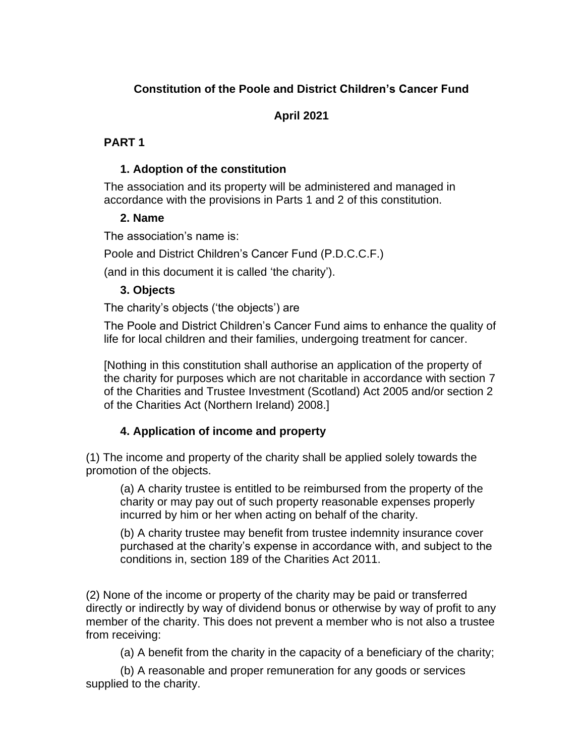# **Constitution of the Poole and District Children's Cancer Fund**

**April 2021**

# **PART 1**

# **1. Adoption of the constitution**

The association and its property will be administered and managed in accordance with the provisions in Parts 1 and 2 of this constitution.

# **2. Name**

The association's name is:

Poole and District Children's Cancer Fund (P.D.C.C.F.)

(and in this document it is called 'the charity').

# **3. Objects**

The charity's objects ('the objects') are

The Poole and District Children's Cancer Fund aims to enhance the quality of life for local children and their families, undergoing treatment for cancer.

[Nothing in this constitution shall authorise an application of the property of the charity for purposes which are not charitable in accordance with section 7 of the Charities and Trustee Investment (Scotland) Act 2005 and/or section 2 of the Charities Act (Northern Ireland) 2008.]

# **4. Application of income and property**

(1) The income and property of the charity shall be applied solely towards the promotion of the objects.

(a) A charity trustee is entitled to be reimbursed from the property of the charity or may pay out of such property reasonable expenses properly incurred by him or her when acting on behalf of the charity.

(b) A charity trustee may benefit from trustee indemnity insurance cover purchased at the charity's expense in accordance with, and subject to the conditions in, section 189 of the Charities Act 2011.

(2) None of the income or property of the charity may be paid or transferred directly or indirectly by way of dividend bonus or otherwise by way of profit to any member of the charity. This does not prevent a member who is not also a trustee from receiving:

(a) A benefit from the charity in the capacity of a beneficiary of the charity;

(b) A reasonable and proper remuneration for any goods or services supplied to the charity.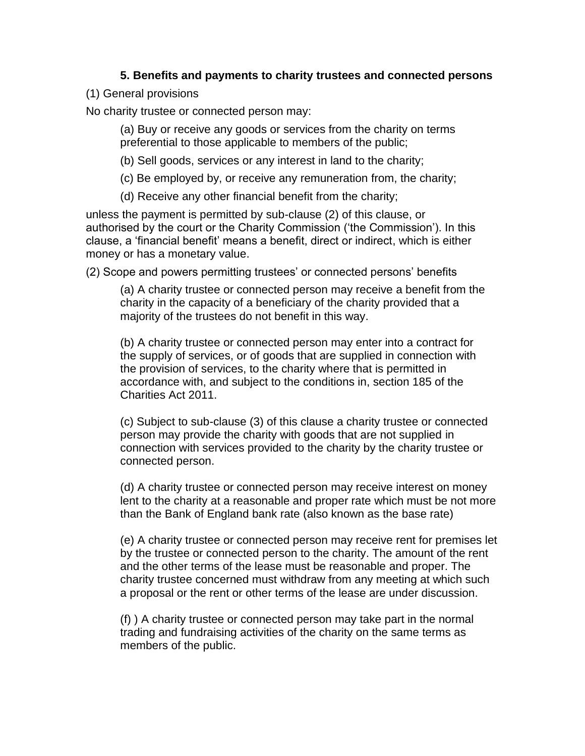## **5. Benefits and payments to charity trustees and connected persons**

## (1) General provisions

No charity trustee or connected person may:

(a) Buy or receive any goods or services from the charity on terms preferential to those applicable to members of the public;

- (b) Sell goods, services or any interest in land to the charity;
- (c) Be employed by, or receive any remuneration from, the charity;

(d) Receive any other financial benefit from the charity;

unless the payment is permitted by sub-clause (2) of this clause, or authorised by the court or the Charity Commission ('the Commission'). In this clause, a 'financial benefit' means a benefit, direct or indirect, which is either money or has a monetary value.

(2) Scope and powers permitting trustees' or connected persons' benefits

(a) A charity trustee or connected person may receive a benefit from the charity in the capacity of a beneficiary of the charity provided that a majority of the trustees do not benefit in this way.

(b) A charity trustee or connected person may enter into a contract for the supply of services, or of goods that are supplied in connection with the provision of services, to the charity where that is permitted in accordance with, and subject to the conditions in, section 185 of the Charities Act 2011.

(c) Subject to sub-clause (3) of this clause a charity trustee or connected person may provide the charity with goods that are not supplied in connection with services provided to the charity by the charity trustee or connected person.

(d) A charity trustee or connected person may receive interest on money lent to the charity at a reasonable and proper rate which must be not more than the Bank of England bank rate (also known as the base rate)

(e) A charity trustee or connected person may receive rent for premises let by the trustee or connected person to the charity. The amount of the rent and the other terms of the lease must be reasonable and proper. The charity trustee concerned must withdraw from any meeting at which such a proposal or the rent or other terms of the lease are under discussion.

(f) ) A charity trustee or connected person may take part in the normal trading and fundraising activities of the charity on the same terms as members of the public.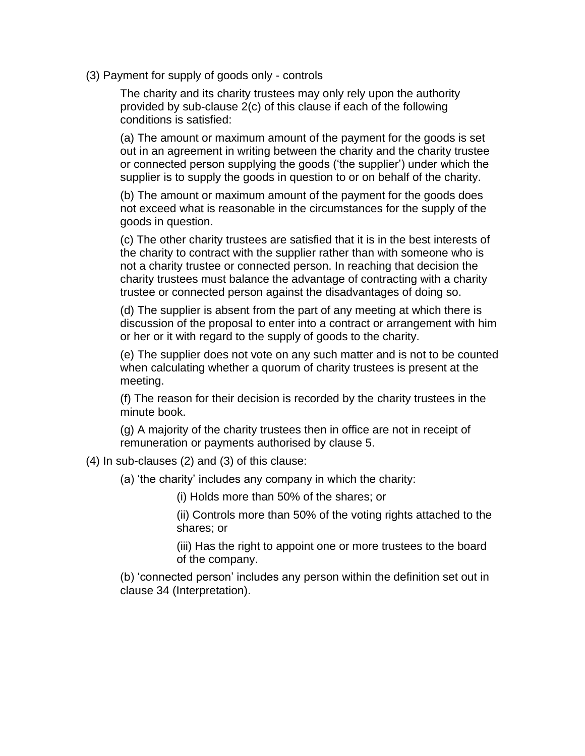(3) Payment for supply of goods only - controls

The charity and its charity trustees may only rely upon the authority provided by sub-clause 2(c) of this clause if each of the following conditions is satisfied:

(a) The amount or maximum amount of the payment for the goods is set out in an agreement in writing between the charity and the charity trustee or connected person supplying the goods ('the supplier') under which the supplier is to supply the goods in question to or on behalf of the charity.

(b) The amount or maximum amount of the payment for the goods does not exceed what is reasonable in the circumstances for the supply of the goods in question.

(c) The other charity trustees are satisfied that it is in the best interests of the charity to contract with the supplier rather than with someone who is not a charity trustee or connected person. In reaching that decision the charity trustees must balance the advantage of contracting with a charity trustee or connected person against the disadvantages of doing so.

(d) The supplier is absent from the part of any meeting at which there is discussion of the proposal to enter into a contract or arrangement with him or her or it with regard to the supply of goods to the charity.

(e) The supplier does not vote on any such matter and is not to be counted when calculating whether a quorum of charity trustees is present at the meeting.

(f) The reason for their decision is recorded by the charity trustees in the minute book.

(g) A majority of the charity trustees then in office are not in receipt of remuneration or payments authorised by clause 5.

(4) In sub-clauses (2) and (3) of this clause:

(a) 'the charity' includes any company in which the charity:

(i) Holds more than 50% of the shares; or

(ii) Controls more than 50% of the voting rights attached to the shares; or

(iii) Has the right to appoint one or more trustees to the board of the company.

(b) 'connected person' includes any person within the definition set out in clause 34 (Interpretation).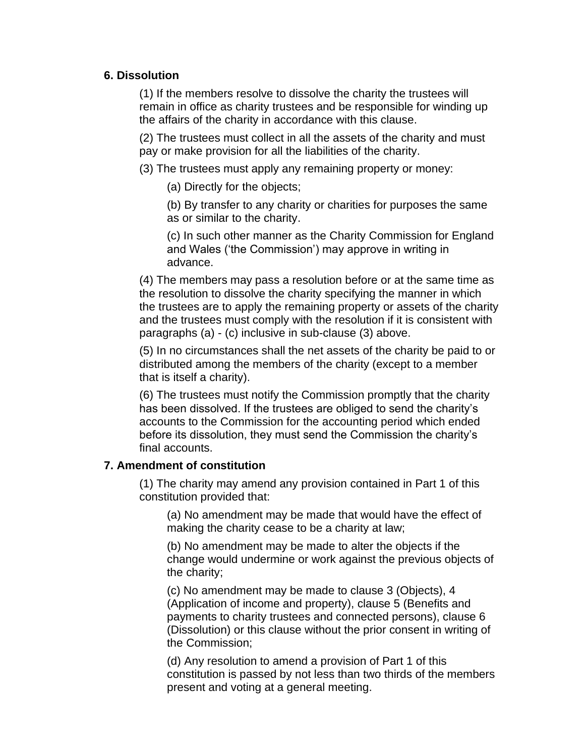## **6. Dissolution**

(1) If the members resolve to dissolve the charity the trustees will remain in office as charity trustees and be responsible for winding up the affairs of the charity in accordance with this clause.

(2) The trustees must collect in all the assets of the charity and must pay or make provision for all the liabilities of the charity.

(3) The trustees must apply any remaining property or money:

(a) Directly for the objects;

(b) By transfer to any charity or charities for purposes the same as or similar to the charity.

(c) In such other manner as the Charity Commission for England and Wales ('the Commission') may approve in writing in advance.

(4) The members may pass a resolution before or at the same time as the resolution to dissolve the charity specifying the manner in which the trustees are to apply the remaining property or assets of the charity and the trustees must comply with the resolution if it is consistent with paragraphs (a) - (c) inclusive in sub-clause (3) above.

(5) In no circumstances shall the net assets of the charity be paid to or distributed among the members of the charity (except to a member that is itself a charity).

(6) The trustees must notify the Commission promptly that the charity has been dissolved. If the trustees are obliged to send the charity's accounts to the Commission for the accounting period which ended before its dissolution, they must send the Commission the charity's final accounts.

## **7. Amendment of constitution**

(1) The charity may amend any provision contained in Part 1 of this constitution provided that:

(a) No amendment may be made that would have the effect of making the charity cease to be a charity at law;

(b) No amendment may be made to alter the objects if the change would undermine or work against the previous objects of the charity;

(c) No amendment may be made to clause 3 (Objects), 4 (Application of income and property), clause 5 (Benefits and payments to charity trustees and connected persons), clause 6 (Dissolution) or this clause without the prior consent in writing of the Commission;

(d) Any resolution to amend a provision of Part 1 of this constitution is passed by not less than two thirds of the members present and voting at a general meeting.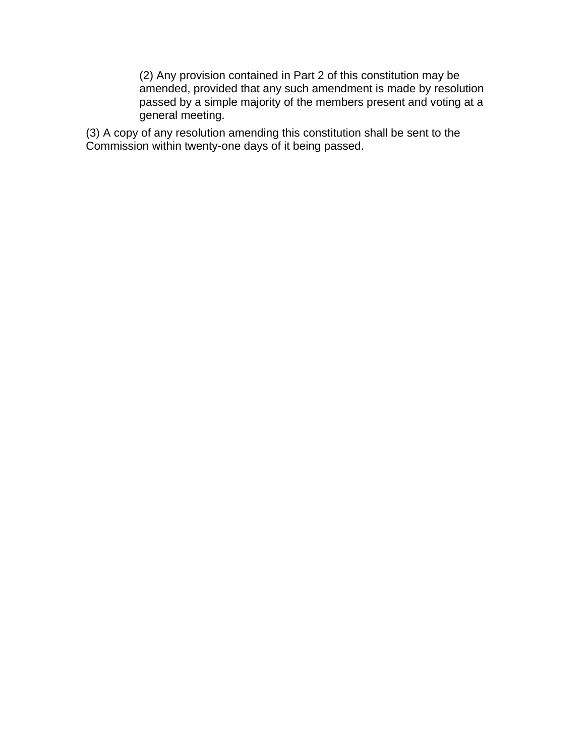(2) Any provision contained in Part 2 of this constitution may be amended, provided that any such amendment is made by resolution passed by a simple majority of the members present and voting at a general meeting.

(3) A copy of any resolution amending this constitution shall be sent to the Commission within twenty-one days of it being passed.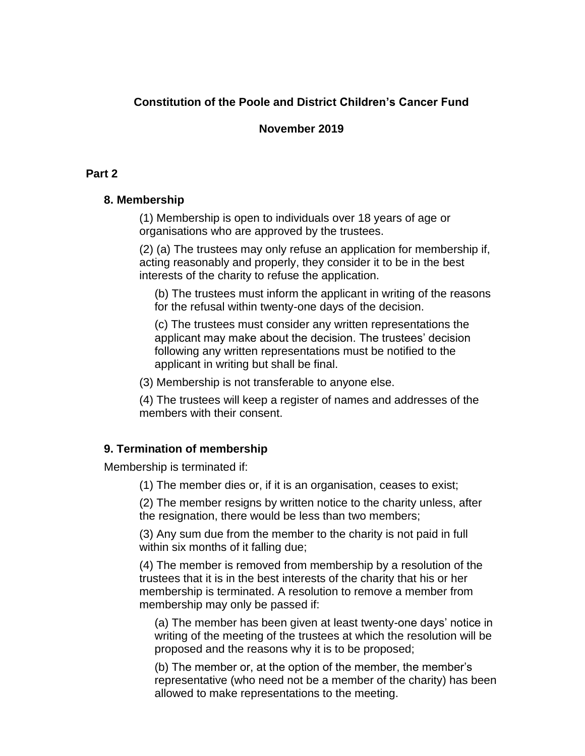# **Constitution of the Poole and District Children's Cancer Fund**

## **November 2019**

# **Part 2**

## **8. Membership**

(1) Membership is open to individuals over 18 years of age or organisations who are approved by the trustees.

(2) (a) The trustees may only refuse an application for membership if, acting reasonably and properly, they consider it to be in the best interests of the charity to refuse the application.

(b) The trustees must inform the applicant in writing of the reasons for the refusal within twenty-one days of the decision.

(c) The trustees must consider any written representations the applicant may make about the decision. The trustees' decision following any written representations must be notified to the applicant in writing but shall be final.

(3) Membership is not transferable to anyone else.

(4) The trustees will keep a register of names and addresses of the members with their consent.

# **9. Termination of membership**

Membership is terminated if:

(1) The member dies or, if it is an organisation, ceases to exist;

(2) The member resigns by written notice to the charity unless, after the resignation, there would be less than two members;

(3) Any sum due from the member to the charity is not paid in full within six months of it falling due;

(4) The member is removed from membership by a resolution of the trustees that it is in the best interests of the charity that his or her membership is terminated. A resolution to remove a member from membership may only be passed if:

(a) The member has been given at least twenty-one days' notice in writing of the meeting of the trustees at which the resolution will be proposed and the reasons why it is to be proposed;

(b) The member or, at the option of the member, the member's representative (who need not be a member of the charity) has been allowed to make representations to the meeting.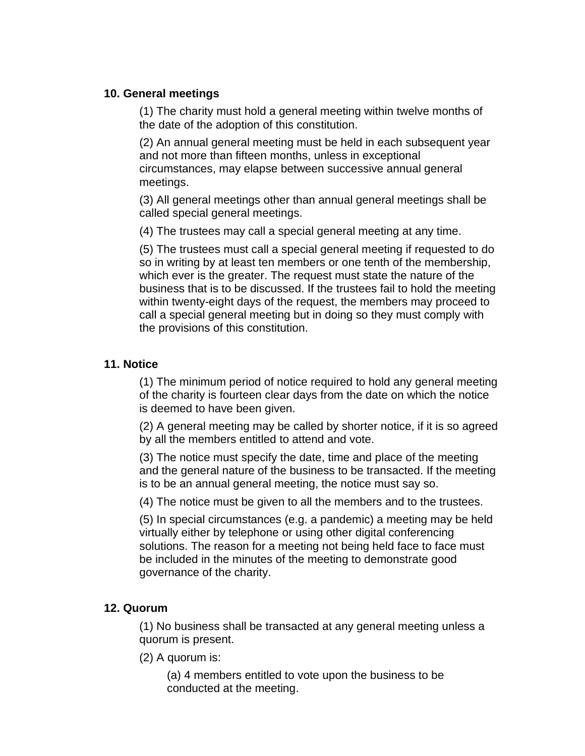## **10. General meetings**

(1) The charity must hold a general meeting within twelve months of the date of the adoption of this constitution.

(2) An annual general meeting must be held in each subsequent year and not more than fifteen months, unless in exceptional circumstances, may elapse between successive annual general meetings.

(3) All general meetings other than annual general meetings shall be called special general meetings.

(4) The trustees may call a special general meeting at any time.

(5) The trustees must call a special general meeting if requested to do so in writing by at least ten members or one tenth of the membership, which ever is the greater. The request must state the nature of the business that is to be discussed. If the trustees fail to hold the meeting within twenty-eight days of the request, the members may proceed to call a special general meeting but in doing so they must comply with the provisions of this constitution.

## **11. Notice**

(1) The minimum period of notice required to hold any general meeting of the charity is fourteen clear days from the date on which the notice is deemed to have been given.

(2) A general meeting may be called by shorter notice, if it is so agreed by all the members entitled to attend and vote.

(3) The notice must specify the date, time and place of the meeting and the general nature of the business to be transacted. If the meeting is to be an annual general meeting, the notice must say so.

(4) The notice must be given to all the members and to the trustees.

(5) In special circumstances (e.g. a pandemic) a meeting may be held virtually either by telephone or using other digital conferencing solutions. The reason for a meeting not being held face to face must be included in the minutes of the meeting to demonstrate good governance of the charity.

## **12. Quorum**

(1) No business shall be transacted at any general meeting unless a quorum is present.

(2) A quorum is:

(a) 4 members entitled to vote upon the business to be conducted at the meeting.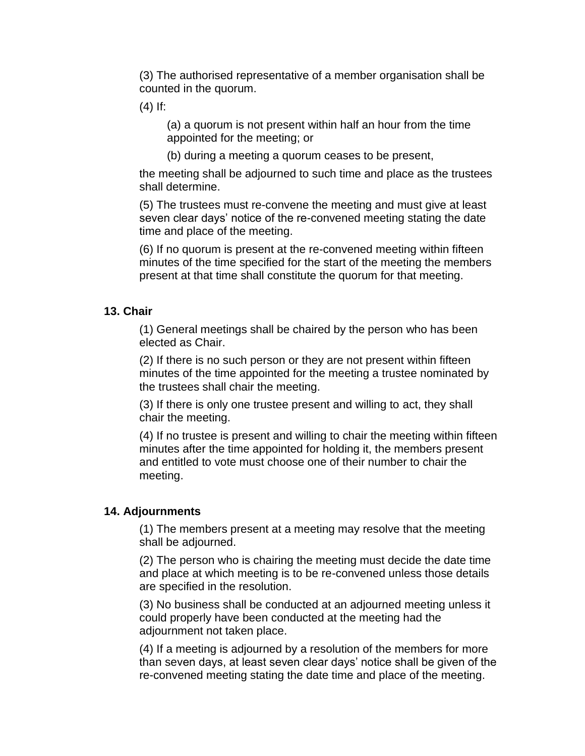(3) The authorised representative of a member organisation shall be counted in the quorum.

 $(4)$  If:

(a) a quorum is not present within half an hour from the time appointed for the meeting; or

(b) during a meeting a quorum ceases to be present,

the meeting shall be adjourned to such time and place as the trustees shall determine.

(5) The trustees must re-convene the meeting and must give at least seven clear days' notice of the re-convened meeting stating the date time and place of the meeting.

(6) If no quorum is present at the re-convened meeting within fifteen minutes of the time specified for the start of the meeting the members present at that time shall constitute the quorum for that meeting.

### **13. Chair**

(1) General meetings shall be chaired by the person who has been elected as Chair.

(2) If there is no such person or they are not present within fifteen minutes of the time appointed for the meeting a trustee nominated by the trustees shall chair the meeting.

(3) If there is only one trustee present and willing to act, they shall chair the meeting.

(4) If no trustee is present and willing to chair the meeting within fifteen minutes after the time appointed for holding it, the members present and entitled to vote must choose one of their number to chair the meeting.

#### **14. Adjournments**

(1) The members present at a meeting may resolve that the meeting shall be adjourned.

(2) The person who is chairing the meeting must decide the date time and place at which meeting is to be re-convened unless those details are specified in the resolution.

(3) No business shall be conducted at an adjourned meeting unless it could properly have been conducted at the meeting had the adjournment not taken place.

(4) If a meeting is adjourned by a resolution of the members for more than seven days, at least seven clear days' notice shall be given of the re-convened meeting stating the date time and place of the meeting.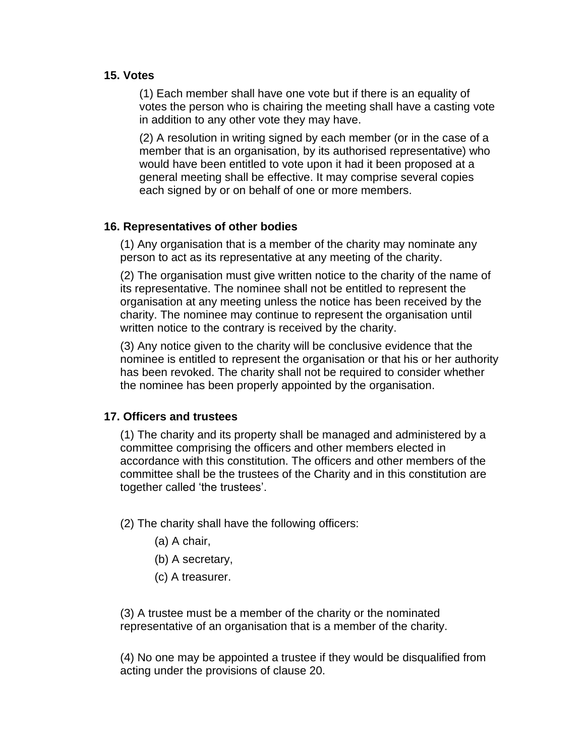## **15. Votes**

(1) Each member shall have one vote but if there is an equality of votes the person who is chairing the meeting shall have a casting vote in addition to any other vote they may have.

(2) A resolution in writing signed by each member (or in the case of a member that is an organisation, by its authorised representative) who would have been entitled to vote upon it had it been proposed at a general meeting shall be effective. It may comprise several copies each signed by or on behalf of one or more members.

### **16. Representatives of other bodies**

(1) Any organisation that is a member of the charity may nominate any person to act as its representative at any meeting of the charity.

(2) The organisation must give written notice to the charity of the name of its representative. The nominee shall not be entitled to represent the organisation at any meeting unless the notice has been received by the charity. The nominee may continue to represent the organisation until written notice to the contrary is received by the charity.

(3) Any notice given to the charity will be conclusive evidence that the nominee is entitled to represent the organisation or that his or her authority has been revoked. The charity shall not be required to consider whether the nominee has been properly appointed by the organisation.

## **17. Officers and trustees**

(1) The charity and its property shall be managed and administered by a committee comprising the officers and other members elected in accordance with this constitution. The officers and other members of the committee shall be the trustees of the Charity and in this constitution are together called 'the trustees'.

(2) The charity shall have the following officers:

- (a) A chair,
- (b) A secretary,
- (c) A treasurer.

(3) A trustee must be a member of the charity or the nominated representative of an organisation that is a member of the charity.

(4) No one may be appointed a trustee if they would be disqualified from acting under the provisions of clause 20.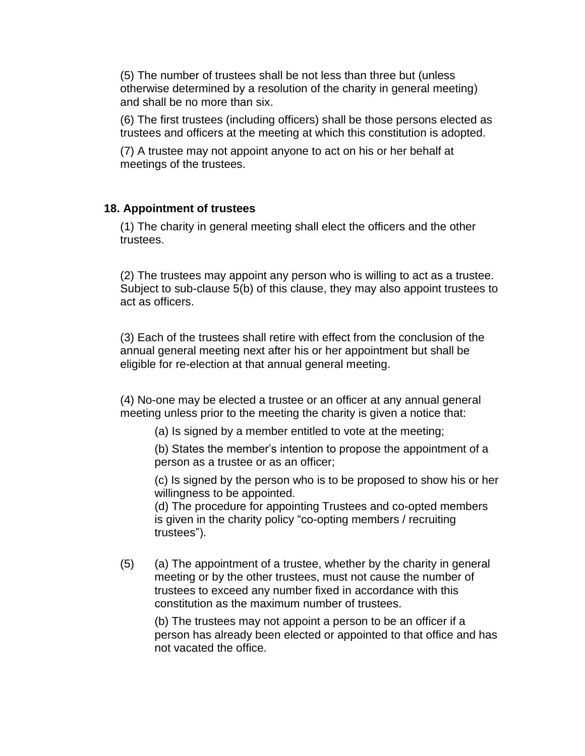(5) The number of trustees shall be not less than three but (unless otherwise determined by a resolution of the charity in general meeting) and shall be no more than six.

(6) The first trustees (including officers) shall be those persons elected as trustees and officers at the meeting at which this constitution is adopted.

(7) A trustee may not appoint anyone to act on his or her behalf at meetings of the trustees.

### **18. Appointment of trustees**

(1) The charity in general meeting shall elect the officers and the other trustees.

(2) The trustees may appoint any person who is willing to act as a trustee. Subject to sub-clause 5(b) of this clause, they may also appoint trustees to act as officers.

(3) Each of the trustees shall retire with effect from the conclusion of the annual general meeting next after his or her appointment but shall be eligible for re-election at that annual general meeting.

(4) No-one may be elected a trustee or an officer at any annual general meeting unless prior to the meeting the charity is given a notice that:

(a) Is signed by a member entitled to vote at the meeting;

(b) States the member's intention to propose the appointment of a person as a trustee or as an officer;

(c) Is signed by the person who is to be proposed to show his or her willingness to be appointed.

(d) The procedure for appointing Trustees and co-opted members is given in the charity policy "co-opting members / recruiting trustees").

(5) (a) The appointment of a trustee, whether by the charity in general meeting or by the other trustees, must not cause the number of trustees to exceed any number fixed in accordance with this constitution as the maximum number of trustees.

(b) The trustees may not appoint a person to be an officer if a person has already been elected or appointed to that office and has not vacated the office.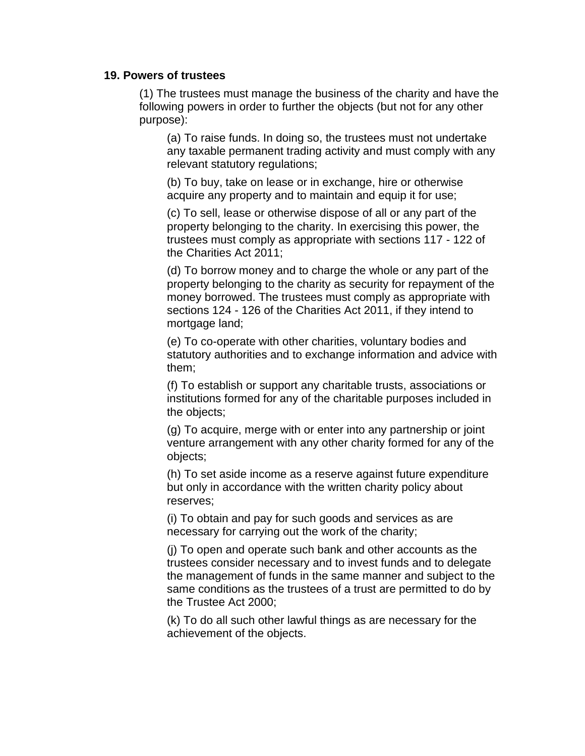#### **19. Powers of trustees**

(1) The trustees must manage the business of the charity and have the following powers in order to further the objects (but not for any other purpose):

(a) To raise funds. In doing so, the trustees must not undertake any taxable permanent trading activity and must comply with any relevant statutory regulations;

(b) To buy, take on lease or in exchange, hire or otherwise acquire any property and to maintain and equip it for use;

(c) To sell, lease or otherwise dispose of all or any part of the property belonging to the charity. In exercising this power, the trustees must comply as appropriate with sections 117 - 122 of the Charities Act 2011;

(d) To borrow money and to charge the whole or any part of the property belonging to the charity as security for repayment of the money borrowed. The trustees must comply as appropriate with sections 124 - 126 of the Charities Act 2011, if they intend to mortgage land;

(e) To co-operate with other charities, voluntary bodies and statutory authorities and to exchange information and advice with them;

(f) To establish or support any charitable trusts, associations or institutions formed for any of the charitable purposes included in the objects;

(g) To acquire, merge with or enter into any partnership or joint venture arrangement with any other charity formed for any of the objects;

(h) To set aside income as a reserve against future expenditure but only in accordance with the written charity policy about reserves;

(i) To obtain and pay for such goods and services as are necessary for carrying out the work of the charity;

(j) To open and operate such bank and other accounts as the trustees consider necessary and to invest funds and to delegate the management of funds in the same manner and subject to the same conditions as the trustees of a trust are permitted to do by the Trustee Act 2000;

(k) To do all such other lawful things as are necessary for the achievement of the objects.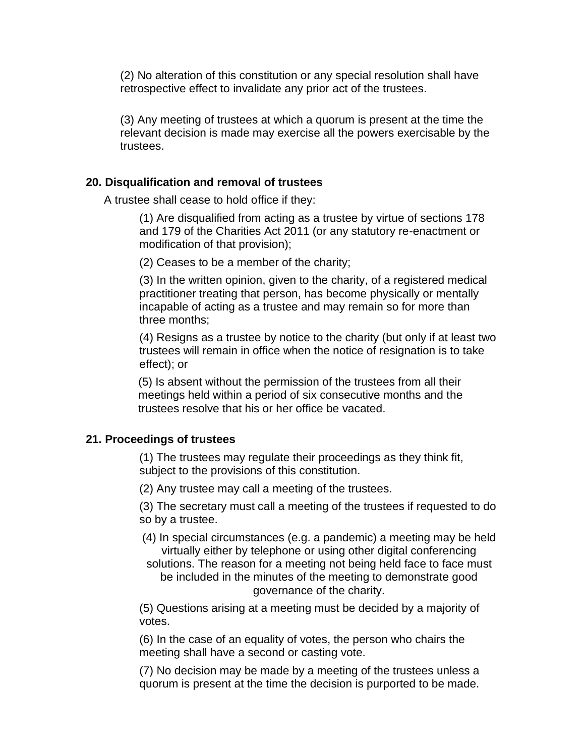(2) No alteration of this constitution or any special resolution shall have retrospective effect to invalidate any prior act of the trustees.

(3) Any meeting of trustees at which a quorum is present at the time the relevant decision is made may exercise all the powers exercisable by the trustees.

#### **20. Disqualification and removal of trustees**

A trustee shall cease to hold office if they:

(1) Are disqualified from acting as a trustee by virtue of sections 178 and 179 of the Charities Act 2011 (or any statutory re-enactment or modification of that provision);

(2) Ceases to be a member of the charity;

(3) In the written opinion, given to the charity, of a registered medical practitioner treating that person, has become physically or mentally incapable of acting as a trustee and may remain so for more than three months;

(4) Resigns as a trustee by notice to the charity (but only if at least two trustees will remain in office when the notice of resignation is to take effect); or

(5) Is absent without the permission of the trustees from all their meetings held within a period of six consecutive months and the trustees resolve that his or her office be vacated.

## **21. Proceedings of trustees**

(1) The trustees may regulate their proceedings as they think fit, subject to the provisions of this constitution.

(2) Any trustee may call a meeting of the trustees.

(3) The secretary must call a meeting of the trustees if requested to do so by a trustee.

- (4) In special circumstances (e.g. a pandemic) a meeting may be held virtually either by telephone or using other digital conferencing
- solutions. The reason for a meeting not being held face to face must be included in the minutes of the meeting to demonstrate good governance of the charity.

(5) Questions arising at a meeting must be decided by a majority of votes.

(6) In the case of an equality of votes, the person who chairs the meeting shall have a second or casting vote.

(7) No decision may be made by a meeting of the trustees unless a quorum is present at the time the decision is purported to be made.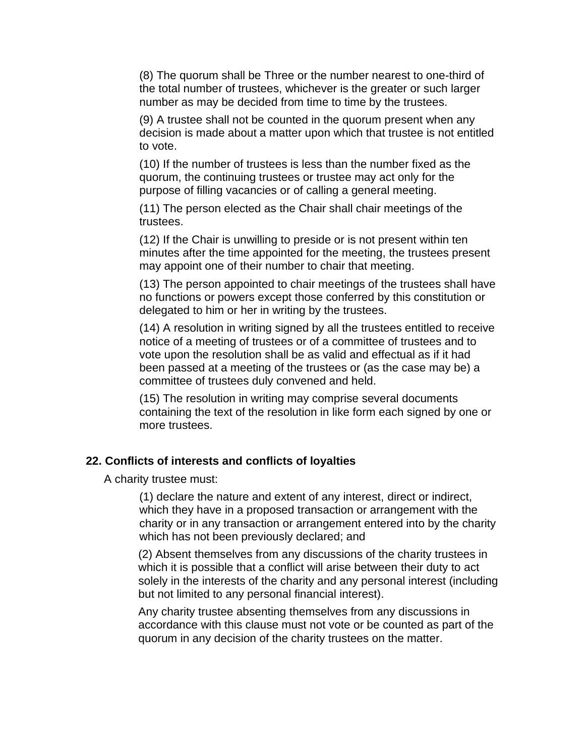(8) The quorum shall be Three or the number nearest to one-third of the total number of trustees, whichever is the greater or such larger number as may be decided from time to time by the trustees.

(9) A trustee shall not be counted in the quorum present when any decision is made about a matter upon which that trustee is not entitled to vote.

(10) If the number of trustees is less than the number fixed as the quorum, the continuing trustees or trustee may act only for the purpose of filling vacancies or of calling a general meeting.

(11) The person elected as the Chair shall chair meetings of the trustees.

(12) If the Chair is unwilling to preside or is not present within ten minutes after the time appointed for the meeting, the trustees present may appoint one of their number to chair that meeting.

(13) The person appointed to chair meetings of the trustees shall have no functions or powers except those conferred by this constitution or delegated to him or her in writing by the trustees.

(14) A resolution in writing signed by all the trustees entitled to receive notice of a meeting of trustees or of a committee of trustees and to vote upon the resolution shall be as valid and effectual as if it had been passed at a meeting of the trustees or (as the case may be) a committee of trustees duly convened and held.

(15) The resolution in writing may comprise several documents containing the text of the resolution in like form each signed by one or more trustees.

## **22. Conflicts of interests and conflicts of loyalties**

A charity trustee must:

(1) declare the nature and extent of any interest, direct or indirect, which they have in a proposed transaction or arrangement with the charity or in any transaction or arrangement entered into by the charity which has not been previously declared; and

(2) Absent themselves from any discussions of the charity trustees in which it is possible that a conflict will arise between their duty to act solely in the interests of the charity and any personal interest (including but not limited to any personal financial interest).

Any charity trustee absenting themselves from any discussions in accordance with this clause must not vote or be counted as part of the quorum in any decision of the charity trustees on the matter.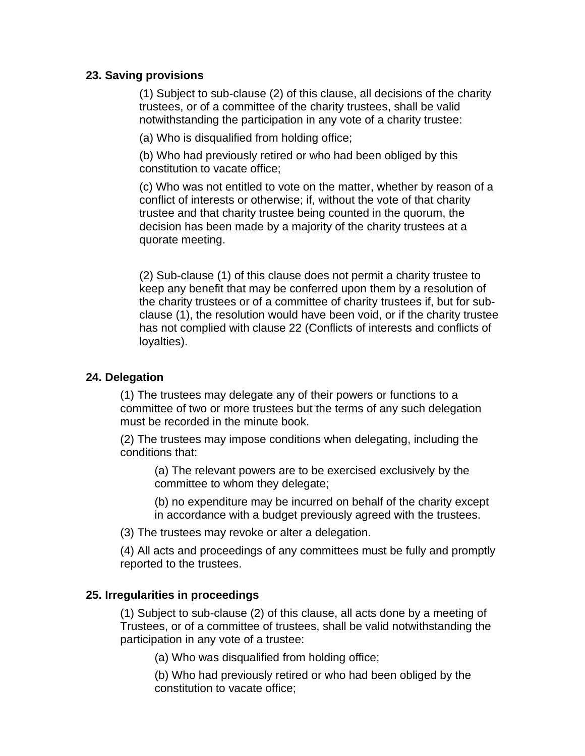## **23. Saving provisions**

(1) Subject to sub-clause (2) of this clause, all decisions of the charity trustees, or of a committee of the charity trustees, shall be valid notwithstanding the participation in any vote of a charity trustee:

(a) Who is disqualified from holding office;

(b) Who had previously retired or who had been obliged by this constitution to vacate office;

(c) Who was not entitled to vote on the matter, whether by reason of a conflict of interests or otherwise; if, without the vote of that charity trustee and that charity trustee being counted in the quorum, the decision has been made by a majority of the charity trustees at a quorate meeting.

(2) Sub-clause (1) of this clause does not permit a charity trustee to keep any benefit that may be conferred upon them by a resolution of the charity trustees or of a committee of charity trustees if, but for subclause (1), the resolution would have been void, or if the charity trustee has not complied with clause 22 (Conflicts of interests and conflicts of loyalties).

## **24. Delegation**

(1) The trustees may delegate any of their powers or functions to a committee of two or more trustees but the terms of any such delegation must be recorded in the minute book.

(2) The trustees may impose conditions when delegating, including the conditions that:

(a) The relevant powers are to be exercised exclusively by the committee to whom they delegate;

(b) no expenditure may be incurred on behalf of the charity except in accordance with a budget previously agreed with the trustees.

(3) The trustees may revoke or alter a delegation.

(4) All acts and proceedings of any committees must be fully and promptly reported to the trustees.

## **25. Irregularities in proceedings**

(1) Subject to sub-clause (2) of this clause, all acts done by a meeting of Trustees, or of a committee of trustees, shall be valid notwithstanding the participation in any vote of a trustee:

(a) Who was disqualified from holding office;

(b) Who had previously retired or who had been obliged by the constitution to vacate office;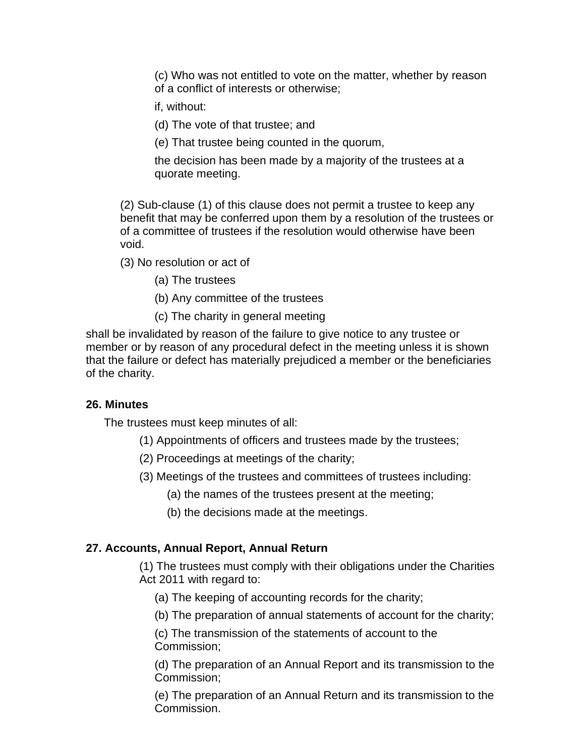(c) Who was not entitled to vote on the matter, whether by reason of a conflict of interests or otherwise;

if, without:

- (d) The vote of that trustee; and
- (e) That trustee being counted in the quorum,

the decision has been made by a majority of the trustees at a quorate meeting.

(2) Sub-clause (1) of this clause does not permit a trustee to keep any benefit that may be conferred upon them by a resolution of the trustees or of a committee of trustees if the resolution would otherwise have been void.

(3) No resolution or act of

(a) The trustees

- (b) Any committee of the trustees
- (c) The charity in general meeting

shall be invalidated by reason of the failure to give notice to any trustee or member or by reason of any procedural defect in the meeting unless it is shown that the failure or defect has materially prejudiced a member or the beneficiaries of the charity.

#### **26. Minutes**

The trustees must keep minutes of all:

- (1) Appointments of officers and trustees made by the trustees;
- (2) Proceedings at meetings of the charity;
- (3) Meetings of the trustees and committees of trustees including:
	- (a) the names of the trustees present at the meeting;
	- (b) the decisions made at the meetings.

## **27. Accounts, Annual Report, Annual Return**

(1) The trustees must comply with their obligations under the Charities Act 2011 with regard to:

- (a) The keeping of accounting records for the charity;
- (b) The preparation of annual statements of account for the charity;

(c) The transmission of the statements of account to the Commission;

(d) The preparation of an Annual Report and its transmission to the Commission;

(e) The preparation of an Annual Return and its transmission to the Commission.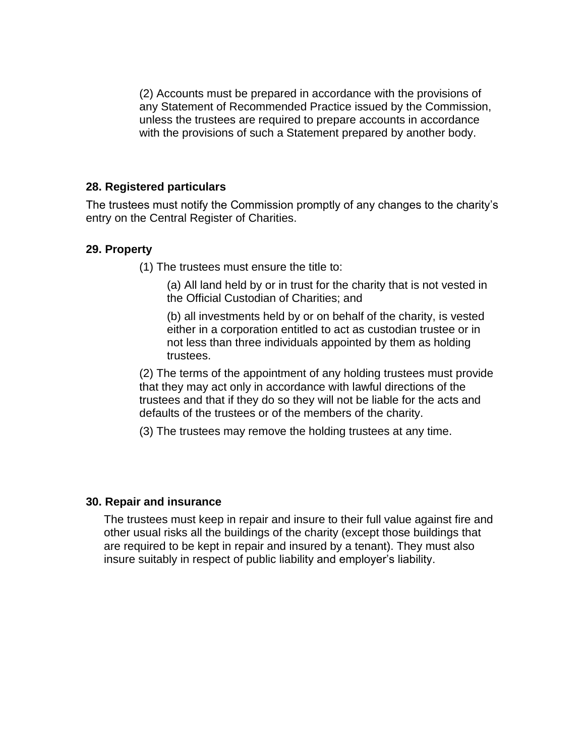(2) Accounts must be prepared in accordance with the provisions of any Statement of Recommended Practice issued by the Commission, unless the trustees are required to prepare accounts in accordance with the provisions of such a Statement prepared by another body.

## **28. Registered particulars**

The trustees must notify the Commission promptly of any changes to the charity's entry on the Central Register of Charities.

## **29. Property**

(1) The trustees must ensure the title to:

(a) All land held by or in trust for the charity that is not vested in the Official Custodian of Charities; and

(b) all investments held by or on behalf of the charity, is vested either in a corporation entitled to act as custodian trustee or in not less than three individuals appointed by them as holding trustees.

(2) The terms of the appointment of any holding trustees must provide that they may act only in accordance with lawful directions of the trustees and that if they do so they will not be liable for the acts and defaults of the trustees or of the members of the charity.

(3) The trustees may remove the holding trustees at any time.

#### **30. Repair and insurance**

The trustees must keep in repair and insure to their full value against fire and other usual risks all the buildings of the charity (except those buildings that are required to be kept in repair and insured by a tenant). They must also insure suitably in respect of public liability and employer's liability.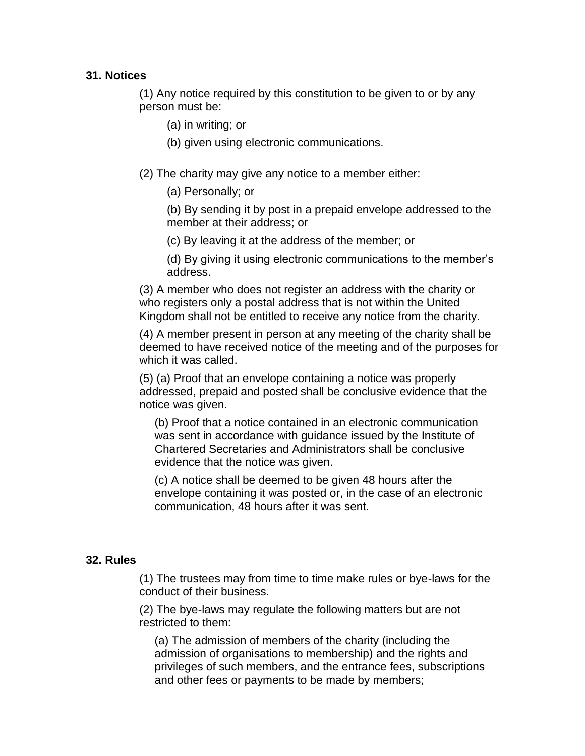### **31. Notices**

(1) Any notice required by this constitution to be given to or by any person must be:

(a) in writing; or

(b) given using electronic communications.

(2) The charity may give any notice to a member either:

(a) Personally; or

(b) By sending it by post in a prepaid envelope addressed to the member at their address; or

(c) By leaving it at the address of the member; or

(d) By giving it using electronic communications to the member's address.

(3) A member who does not register an address with the charity or who registers only a postal address that is not within the United Kingdom shall not be entitled to receive any notice from the charity.

(4) A member present in person at any meeting of the charity shall be deemed to have received notice of the meeting and of the purposes for which it was called.

(5) (a) Proof that an envelope containing a notice was properly addressed, prepaid and posted shall be conclusive evidence that the notice was given.

(b) Proof that a notice contained in an electronic communication was sent in accordance with guidance issued by the Institute of Chartered Secretaries and Administrators shall be conclusive evidence that the notice was given.

(c) A notice shall be deemed to be given 48 hours after the envelope containing it was posted or, in the case of an electronic communication, 48 hours after it was sent.

#### **32. Rules**

(1) The trustees may from time to time make rules or bye-laws for the conduct of their business.

(2) The bye-laws may regulate the following matters but are not restricted to them:

(a) The admission of members of the charity (including the admission of organisations to membership) and the rights and privileges of such members, and the entrance fees, subscriptions and other fees or payments to be made by members;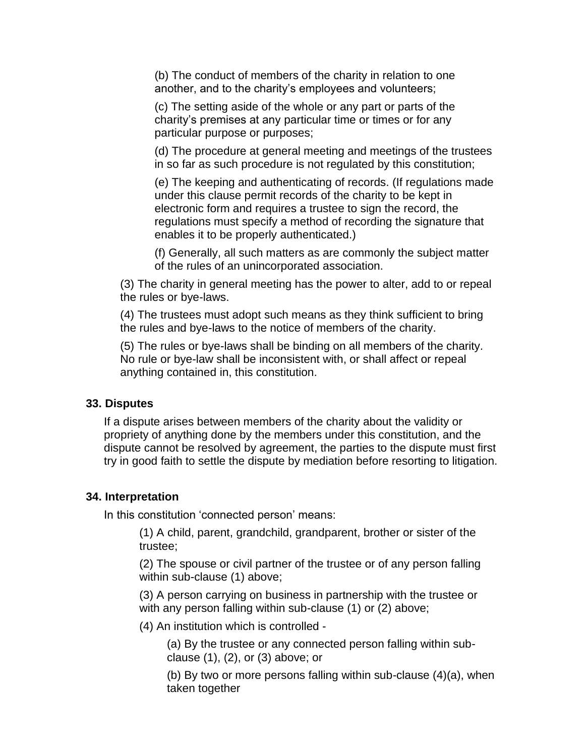(b) The conduct of members of the charity in relation to one another, and to the charity's employees and volunteers;

(c) The setting aside of the whole or any part or parts of the charity's premises at any particular time or times or for any particular purpose or purposes;

(d) The procedure at general meeting and meetings of the trustees in so far as such procedure is not regulated by this constitution;

(e) The keeping and authenticating of records. (If regulations made under this clause permit records of the charity to be kept in electronic form and requires a trustee to sign the record, the regulations must specify a method of recording the signature that enables it to be properly authenticated.)

(f) Generally, all such matters as are commonly the subject matter of the rules of an unincorporated association.

(3) The charity in general meeting has the power to alter, add to or repeal the rules or bye-laws.

(4) The trustees must adopt such means as they think sufficient to bring the rules and bye-laws to the notice of members of the charity.

(5) The rules or bye-laws shall be binding on all members of the charity. No rule or bye-law shall be inconsistent with, or shall affect or repeal anything contained in, this constitution.

#### **33. Disputes**

If a dispute arises between members of the charity about the validity or propriety of anything done by the members under this constitution, and the dispute cannot be resolved by agreement, the parties to the dispute must first try in good faith to settle the dispute by mediation before resorting to litigation.

#### **34. Interpretation**

In this constitution 'connected person' means:

(1) A child, parent, grandchild, grandparent, brother or sister of the trustee;

(2) The spouse or civil partner of the trustee or of any person falling within sub-clause (1) above;

(3) A person carrying on business in partnership with the trustee or with any person falling within sub-clause (1) or (2) above;

(4) An institution which is controlled -

(a) By the trustee or any connected person falling within subclause (1), (2), or (3) above; or

(b) By two or more persons falling within sub-clause (4)(a), when taken together